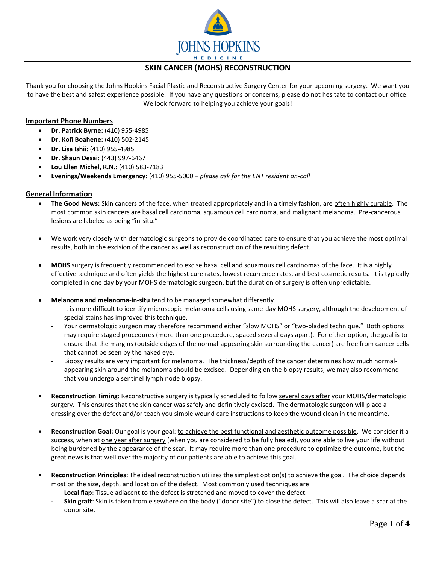

# **SKIN CANCER (MOHS) RECONSTRUCTION**

Thank you for choosing the Johns Hopkins Facial Plastic and Reconstructive Surgery Center for your upcoming surgery. We want you to have the best and safest experience possible. If you have any questions or concerns, please do not hesitate to contact our office. We look forward to helping you achieve your goals!

# **Important Phone Numbers**

- **Dr. Patrick Byrne:** (410) 955-4985
- **Dr. Kofi Boahene:** (410) 502-2145
- **Dr. Lisa Ishii:** (410) 955-4985
- **Dr. Shaun Desai:** (443) 997-6467
- **Lou Ellen Michel, R.N.:** (410) 583-7183
- **Evenings/Weekends Emergency:** (410) 955-5000 *please ask for the ENT resident on-call*

# **General Information**

- **The Good News:** Skin cancers of the face, when treated appropriately and in a timely fashion, are often highly curable. The most common skin cancers are basal cell carcinoma, squamous cell carcinoma, and malignant melanoma. Pre-cancerous lesions are labeled as being "in-situ."
- We work very closely with dermatologic surgeons to provide coordinated care to ensure that you achieve the most optimal results, both in the excision of the cancer as well as reconstruction of the resulting defect.
- **MOHS** surgery is frequently recommended to excise basal cell and squamous cell carcinomas of the face. It is a highly effective technique and often yields the highest cure rates, lowest recurrence rates, and best cosmetic results. It is typically completed in one day by your MOHS dermatologic surgeon, but the duration of surgery is often unpredictable.
- **Melanoma and melanoma-in-situ** tend to be managed somewhat differently.
	- It is more difficult to identify microscopic melanoma cells using same-day MOHS surgery, although the development of special stains has improved this technique.
	- Your dermatologic surgeon may therefore recommend either "slow MOHS" or "two-bladed technique." Both options may require staged procedures (more than one procedure, spaced several days apart). For either option, the goal is to ensure that the margins (outside edges of the normal-appearing skin surrounding the cancer) are free from cancer cells that cannot be seen by the naked eye.
	- Biopsy results are very important for melanoma. The thickness/depth of the cancer determines how much normalappearing skin around the melanoma should be excised. Depending on the biopsy results, we may also recommend that you undergo a sentinel lymph node biopsy.
- **Reconstruction Timing:** Reconstructive surgery is typically scheduled to follow several days after your MOHS/dermatologic surgery. This ensures that the skin cancer was safely and definitively excised. The dermatologic surgeon will place a dressing over the defect and/or teach you simple wound care instructions to keep the wound clean in the meantime.
- **Reconstruction Goal:** Our goal is your goal: to achieve the best functional and aesthetic outcome possible. We consider it a success, when at one year after surgery (when you are considered to be fully healed), you are able to live your life without being burdened by the appearance of the scar. It may require more than one procedure to optimize the outcome, but the great news is that well over the majority of our patients are able to achieve this goal.
- **Reconstruction Principles:** The ideal reconstruction utilizes the simplest option(s) to achieve the goal. The choice depends most on the size, depth, and location of the defect. Most commonly used techniques are:
	- Local flap: Tissue adjacent to the defect is stretched and moved to cover the defect.
	- **Skin graft**: Skin is taken from elsewhere on the body ("donor site") to close the defect. This will also leave a scar at the donor site.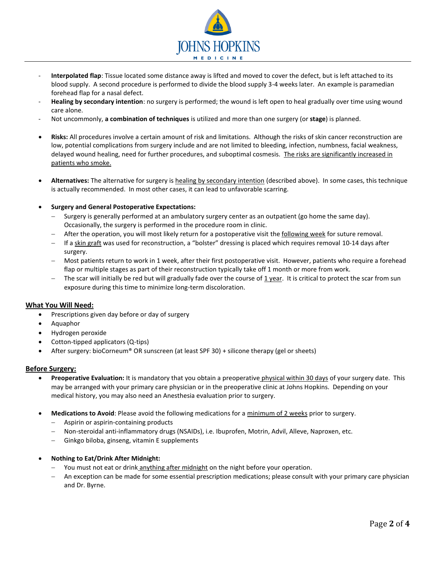

- Interpolated flap: Tissue located some distance away is lifted and moved to cover the defect, but is left attached to its blood supply. A second procedure is performed to divide the blood supply 3-4 weeks later. An example is paramedian forehead flap for a nasal defect.
- **Healing by secondary intention**: no surgery is performed; the wound is left open to heal gradually over time using wound care alone.
- Not uncommonly, **a combination of techniques** is utilized and more than one surgery (or **stage**) is planned.
- **Risks:** All procedures involve a certain amount of risk and limitations. Although the risks of skin cancer reconstruction are low, potential complications from surgery include and are not limited to bleeding, infection, numbness, facial weakness, delayed wound healing, need for further procedures, and suboptimal cosmesis. The risks are significantly increased in patients who smoke.
- **Alternatives:** The alternative for surgery is healing by secondary intention (described above). In some cases, this technique is actually recommended. In most other cases, it can lead to unfavorable scarring.

### **Surgery and General Postoperative Expectations:**

- Surgery is generally performed at an ambulatory surgery center as an outpatient (go home the same day). Occasionally, the surgery is performed in the procedure room in clinic.
- After the operation, you will most likely return for a postoperative visit the following week for suture removal.
- If a skin graft was used for reconstruction, a "bolster" dressing is placed which requires removal 10-14 days after surgery.
- Most patients return to work in 1 week, after their first postoperative visit. However, patients who require a forehead flap or multiple stages as part of their reconstruction typically take off 1 month or more from work.
- The scar will initially be red but will gradually fade over the course of  $1$  year. It is critical to protect the scar from sun exposure during this time to minimize long-term discoloration.

### **What You Will Need:**

- Prescriptions given day before or day of surgery
- Aquaphor
- Hydrogen peroxide
- Cotton-tipped applicators (Q-tips)
- After surgery: bioCorneum® OR sunscreen (at least SPF 30) + silicone therapy (gel or sheets)

# **Before Surgery:**

- Preoperative Evaluation: It is mandatory that you obtain a preoperative physical within 30 days of your surgery date. This may be arranged with your primary care physician or in the preoperative clinic at Johns Hopkins. Depending on your medical history, you may also need an Anesthesia evaluation prior to surgery.
- **Medications to Avoid**: Please avoid the following medications for a minimum of 2 weeks prior to surgery.
	- Aspirin or aspirin-containing products
	- Non-steroidal anti-inflammatory drugs (NSAIDs), i.e. Ibuprofen, Motrin, Advil, Alleve, Naproxen, etc.
	- Ginkgo biloba, ginseng, vitamin E supplements
- **Nothing to Eat/Drink After Midnight:**
	- You must not eat or drink anything after midnight on the night before your operation.
	- An exception can be made for some essential prescription medications; please consult with your primary care physician and Dr. Byrne.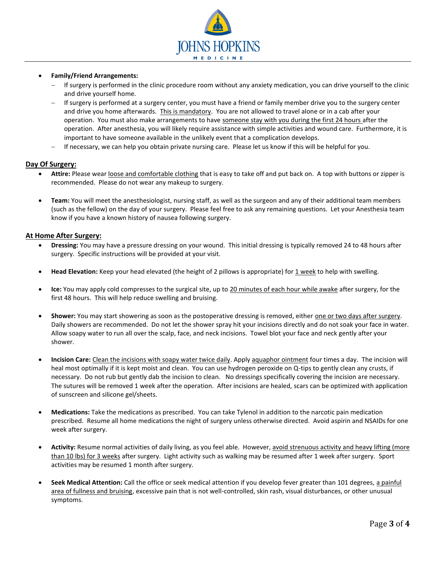

#### **Family/Friend Arrangements:**

- If surgery is performed in the clinic procedure room without any anxiety medication, you can drive yourself to the clinic and drive yourself home.
- $-$  If surgery is performed at a surgery center, you must have a friend or family member drive you to the surgery center and drive you home afterwards. This is mandatory. You are not allowed to travel alone or in a cab after your operation. You must also make arrangements to have someone stay with you during the first 24 hours after the operation. After anesthesia, you will likely require assistance with simple activities and wound care. Furthermore, it is important to have someone available in the unlikely event that a complication develops.
- If necessary, we can help you obtain private nursing care. Please let us know if this will be helpful for you.

#### **Day Of Surgery:**

- **Attire:** Please wear loose and comfortable clothing that is easy to take off and put back on. A top with buttons or zipper is recommended. Please do not wear any makeup to surgery.
- **Team:** You will meet the anesthesiologist, nursing staff, as well as the surgeon and any of their additional team members (such as the fellow) on the day of your surgery. Please feel free to ask any remaining questions. Let your Anesthesia team know if you have a known history of nausea following surgery.

#### **At Home After Surgery:**

- **Dressing:** You may have a pressure dressing on your wound. This initial dressing is typically removed 24 to 48 hours after surgery. Specific instructions will be provided at your visit.
- **Head Elevation:** Keep your head elevated (the height of 2 pillows is appropriate) for 1 week to help with swelling.
- **Ice:** You may apply cold compresses to the surgical site, up to 20 minutes of each hour while awake after surgery, for the first 48 hours. This will help reduce swelling and bruising.
- **Shower:** You may start showering as soon as the postoperative dressing is removed, either one or two days after surgery. Daily showers are recommended. Do not let the shower spray hit your incisions directly and do not soak your face in water. Allow soapy water to run all over the scalp, face, and neck incisions. Towel blot your face and neck gently after your shower.
- **Incision Care:** Clean the incisions with soapy water twice daily. Apply aquaphor ointment four times a day. The incision will heal most optimally if it is kept moist and clean. You can use hydrogen peroxide on Q-tips to gently clean any crusts, if necessary. Do not rub but gently dab the incision to clean. No dressings specifically covering the incision are necessary. The sutures will be removed 1 week after the operation. After incisions are healed, scars can be optimized with application of sunscreen and silicone gel/sheets.
- **Medications:** Take the medications as prescribed. You can take Tylenol in addition to the narcotic pain medication prescribed. Resume all home medications the night of surgery unless otherwise directed. Avoid aspirin and NSAIDs for one week after surgery.
- **Activity:** Resume normal activities of daily living, as you feel able. However, avoid strenuous activity and heavy lifting (more than 10 lbs) for 3 weeks after surgery. Light activity such as walking may be resumed after 1 week after surgery.Sport activities may be resumed 1 month after surgery.
- **Seek Medical Attention:** Call the office or seek medical attention if you develop fever greater than 101 degrees, a painful area of fullness and bruising, excessive pain that is not well-controlled, skin rash, visual disturbances, or other unusual symptoms.